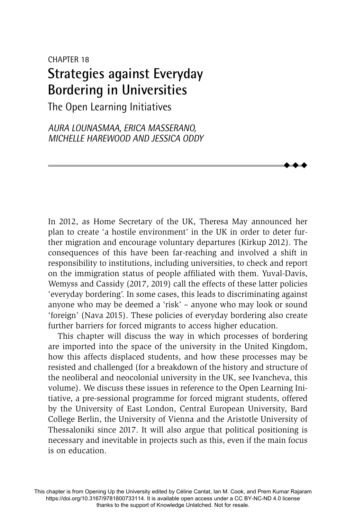# CHAPTER 18 **Strategies against Everyday Bordering in Universities**

The Open Learning Initiatives

*AURA LOUNASMAA, ERICA MASSERANO, MICHELLE HAREWOOD AND JESSICA ODDY*

In 2012, as Home Secretary of the UK, Theresa May announced her plan to create 'a hostile environment' in the UK in order to deter further migration and encourage voluntary departures (Kirkup 2012). The consequences of this have been far-reaching and involved a shift in responsibility to institutions, including universities, to check and report on the immigration status of people affiliated with them. Yuval-Davis, Wemyss and Cassidy (2017, 2019) call the effects of these latter policies 'everyday bordering'. In some cases, this leads to discriminating against anyone who may be deemed a 'risk' – anyone who may look or sound 'foreign' (Nava 2015). These policies of everyday bordering also create further barriers for forced migrants to access higher education.

 $\blacklozenge$  $\blacklozenge$  $\blacklozenge$ 

This chapter will discuss the way in which processes of bordering are imported into the space of the university in the United Kingdom, how this affects displaced students, and how these processes may be resisted and challenged (for a breakdown of the history and structure of the neoliberal and neocolonial university in the UK, see Ivancheva, this volume). We discuss these issues in reference to the Open Learning Initiative, a pre-sessional programme for forced migrant students, offered by the University of East London, Central European University, Bard College Berlin, the University of Vienna and the Aristotle University of Thessaloniki since 2017. It will also argue that political positioning is necessary and inevitable in projects such as this, even if the main focus is on education.

This chapter is from Opening Up the University edited by Céline Cantat, Ian M. Cook, and Prem Kumar Rajaram https://doi.org/10.3167/9781800733114. It is available open access under a CC BY-NC-ND 4.0 license thanks to the support of Knowledge Unlatched. Not for resale.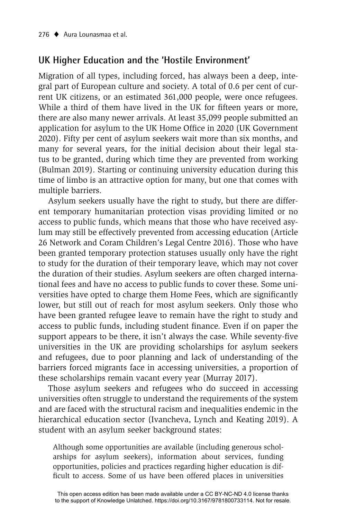## **UK Higher Education and the 'Hostile Environment'**

Migration of all types, including forced, has always been a deep, integral part of European culture and society. A total of 0.6 per cent of current UK citizens, or an estimated 361,000 people, were once refugees. While a third of them have lived in the UK for fifteen years or more, there are also many newer arrivals. At least 35,099 people submitted an application for asylum to the UK Home Office in 2020 (UK Government 2020). Fifty per cent of asylum seekers wait more than six months, and many for several years, for the initial decision about their legal status to be granted, during which time they are prevented from working (Bulman 2019). Starting or continuing university education during this time of limbo is an attractive option for many, but one that comes with multiple barriers.

Asylum seekers usually have the right to study, but there are different temporary humanitarian protection visas providing limited or no access to public funds, which means that those who have received asylum may still be effectively prevented from accessing education (Article 26 Network and Coram Children's Legal Centre 2016). Those who have been granted temporary protection statuses usually only have the right to study for the duration of their temporary leave, which may not cover the duration of their studies. Asylum seekers are often charged international fees and have no access to public funds to cover these. Some universities have opted to charge them Home Fees, which are significantly lower, but still out of reach for most asylum seekers. Only those who have been granted refugee leave to remain have the right to study and access to public funds, including student finance. Even if on paper the support appears to be there, it isn't always the case. While seventy-five universities in the UK are providing scholarships for asylum seekers and refugees, due to poor planning and lack of understanding of the barriers forced migrants face in accessing universities, a proportion of these scholarships remain vacant every year (Murray 2017).

Those asylum seekers and refugees who do succeed in accessing universities often struggle to understand the requirements of the system and are faced with the structural racism and inequalities endemic in the hierarchical education sector (Ivancheva, Lynch and Keating 2019). A student with an asylum seeker background states:

Although some opportunities are available (including generous scholarships for asylum seekers), information about services, funding opportunities, policies and practices regarding higher education is difficult to access. Some of us have been offered places in universities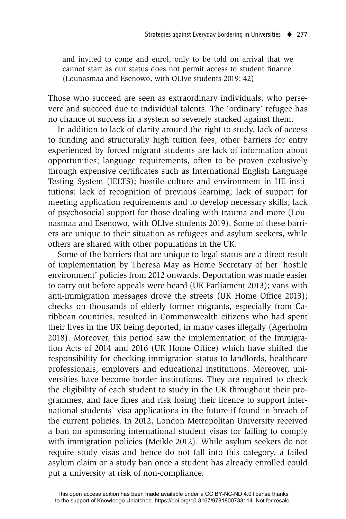and invited to come and enrol, only to be told on arrival that we cannot start as our status does not permit access to student finance. (Lounasmaa and Esenowo, with OLIve students 2019: 42)

Those who succeed are seen as extraordinary individuals, who persevere and succeed due to individual talents. The 'ordinary' refugee has no chance of success in a system so severely stacked against them.

In addition to lack of clarity around the right to study, lack of access to funding and structurally high tuition fees, other barriers for entry experienced by forced migrant students are lack of information about opportunities; language requirements, often to be proven exclusively through expensive certificates such as International English Language Testing System (IELTS); hostile culture and environment in HE institutions; lack of recognition of previous learning; lack of support for meeting application requirements and to develop necessary skills; lack of psychosocial support for those dealing with trauma and more (Lounasmaa and Esenowo, with OLIve students 2019). Some of these barriers are unique to their situation as refugees and asylum seekers, while others are shared with other populations in the UK.

Some of the barriers that are unique to legal status are a direct result of implementation by Theresa May as Home Secretary of her 'hostile environment' policies from 2012 onwards. Deportation was made easier to carry out before appeals were heard (UK Parliament 2013); vans with anti-immigration messages drove the streets (UK Home Office 2013); checks on thousands of elderly former migrants, especially from Caribbean countries, resulted in Commonwealth citizens who had spent their lives in the UK being deported, in many cases illegally (Agerholm 2018). Moreover, this period saw the implementation of the Immigration Acts of 2014 and 2016 (UK Home Office) which have shifted the responsibility for checking immigration status to landlords, healthcare professionals, employers and educational institutions. Moreover, universities have become border institutions. They are required to check the eligibility of each student to study in the UK throughout their programmes, and face fines and risk losing their licence to support international students' visa applications in the future if found in breach of the current policies. In 2012, London Metropolitan University received a ban on sponsoring international student visas for failing to comply with immigration policies (Meikle 2012). While asylum seekers do not require study visas and hence do not fall into this category, a failed asylum claim or a study ban once a student has already enrolled could put a university at risk of non-compliance.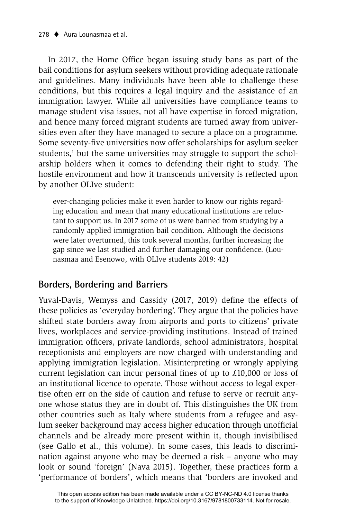In 2017, the Home Office began issuing study bans as part of the bail conditions for asylum seekers without providing adequate rationale and guidelines. Many individuals have been able to challenge these conditions, but this requires a legal inquiry and the assistance of an immigration lawyer. While all universities have compliance teams to manage student visa issues, not all have expertise in forced migration, and hence many forced migrant students are turned away from universities even after they have managed to secure a place on a programme. Some seventy-five universities now offer scholarships for asylum seeker students,<sup>1</sup> but the same universities may struggle to support the scholarship holders when it comes to defending their right to study. The hostile environment and how it transcends university is reflected upon by another OLIve student:

ever-changing policies make it even harder to know our rights regarding education and mean that many educational institutions are reluctant to support us. In 2017 some of us were banned from studying by a randomly applied immigration bail condition. Although the decisions were later overturned, this took several months, further increasing the gap since we last studied and further damaging our confidence. (Lounasmaa and Esenowo, with OLIve students 2019: 42)

# **Borders, Bordering and Barriers**

Yuval-Davis, Wemyss and Cassidy (2017, 2019) define the effects of these policies as 'everyday bordering'. They argue that the policies have shifted state borders away from airports and ports to citizens' private lives, workplaces and service-providing institutions. Instead of trained immigration officers, private landlords, school administrators, hospital receptionists and employers are now charged with understanding and applying immigration legislation. Misinterpreting or wrongly applying current legislation can incur personal fines of up to  $\text{\pounds}10,000$  or loss of an institutional licence to operate. Those without access to legal expertise often err on the side of caution and refuse to serve or recruit anyone whose status they are in doubt of. This distinguishes the UK from other countries such as Italy where students from a refugee and asylum seeker background may access higher education through unofficial channels and be already more present within it, though invisibilised (see Gallo et al., this volume). In some cases, this leads to discrimination against anyone who may be deemed a risk – anyone who may look or sound 'foreign' (Nava 2015). Together, these practices form a 'performance of borders', which means that 'borders are invoked and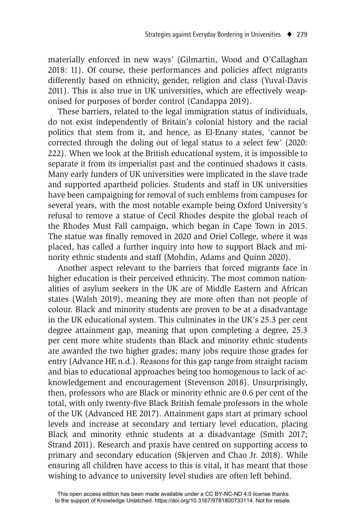materially enforced in new ways' (Gilmartin, Wood and O'Callaghan 2018: 11). Of course, these performances and policies affect migrants differently based on ethnicity, gender, religion and class (Yuval-Davis 2011). This is also true in UK universities, which are effectively weaponised for purposes of border control (Candappa 2019).

These barriers, related to the legal immigration status of individuals, do not exist independently of Britain's colonial history and the racial politics that stem from it, and hence, as El-Enany states, 'cannot be corrected through the doling out of legal status to a select few' (2020: 222). When we look at the British educational system, it is impossible to separate it from its imperialist past and the continued shadows it casts. Many early funders of UK universities were implicated in the slave trade and supported apartheid policies. Students and staff in UK universities have been campaigning for removal of such emblems from campuses for several years, with the most notable example being Oxford University's refusal to remove a statue of Cecil Rhodes despite the global reach of the Rhodes Must Fall campaign, which began in Cape Town in 2015. The statue was finally removed in 2020 and Oriel College, where it was placed, has called a further inquiry into how to support Black and minority ethnic students and staff (Mohdin, Adams and Quinn 2020).

Another aspect relevant to the barriers that forced migrants face in higher education is their perceived ethnicity. The most common nationalities of asylum seekers in the UK are of Middle Eastern and African states (Walsh 2019), meaning they are more often than not people of colour. Black and minority students are proven to be at a disadvantage in the UK educational system. This culminates in the UK's 25.3 per cent degree attainment gap, meaning that upon completing a degree, 25.3 per cent more white students than Black and minority ethnic students are awarded the two higher grades; many jobs require those grades for entry (Advance HE n.d.). Reasons for this gap range from straight racism and bias to educational approaches being too homogenous to lack of acknowledgement and encouragement (Stevenson 2018). Unsurprisingly, then, professors who are Black or minority ethnic are 0.6 per cent of the total, with only twenty-five Black British female professors in the whole of the UK (Advanced HE 2017). Attainment gaps start at primary school levels and increase at secondary and tertiary level education, placing Black and minority ethnic students at a disadvantage (Smith 2017; Strand 2011). Research and praxis have centred on supporting access to primary and secondary education (Skjerven and Chao Jr. 2018). While ensuring all children have access to this is vital, it has meant that those wishing to advance to university level studies are often left behind.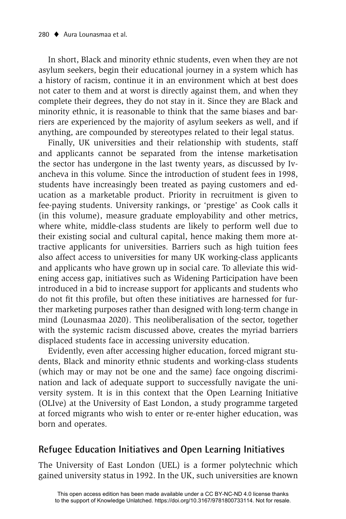In short, Black and minority ethnic students, even when they are not asylum seekers, begin their educational journey in a system which has a history of racism, continue it in an environment which at best does not cater to them and at worst is directly against them, and when they complete their degrees, they do not stay in it. Since they are Black and minority ethnic, it is reasonable to think that the same biases and barriers are experienced by the majority of asylum seekers as well, and if anything, are compounded by stereotypes related to their legal status.

Finally, UK universities and their relationship with students, staff and applicants cannot be separated from the intense marketisation the sector has undergone in the last twenty years, as discussed by Ivancheva in this volume. Since the introduction of student fees in 1998, students have increasingly been treated as paying customers and education as a marketable product. Priority in recruitment is given to fee-paying students. University rankings, or 'prestige' as Cook calls it (in this volume), measure graduate employability and other metrics, where white, middle-class students are likely to perform well due to their existing social and cultural capital, hence making them more attractive applicants for universities. Barriers such as high tuition fees also affect access to universities for many UK working-class applicants and applicants who have grown up in social care. To alleviate this widening access gap, initiatives such as Widening Participation have been introduced in a bid to increase support for applicants and students who do not fit this profile, but often these initiatives are harnessed for further marketing purposes rather than designed with long-term change in mind (Lounasmaa 2020). This neoliberalisation of the sector, together with the systemic racism discussed above, creates the myriad barriers displaced students face in accessing university education.

Evidently, even after accessing higher education, forced migrant students, Black and minority ethnic students and working-class students (which may or may not be one and the same) face ongoing discrimination and lack of adequate support to successfully navigate the university system. It is in this context that the Open Learning Initiative (OLIve) at the University of East London, a study programme targeted at forced migrants who wish to enter or re-enter higher education, was born and operates.

## **Refugee Education Initiatives and Open Learning Initiatives**

The University of East London (UEL) is a former polytechnic which gained university status in 1992. In the UK, such universities are known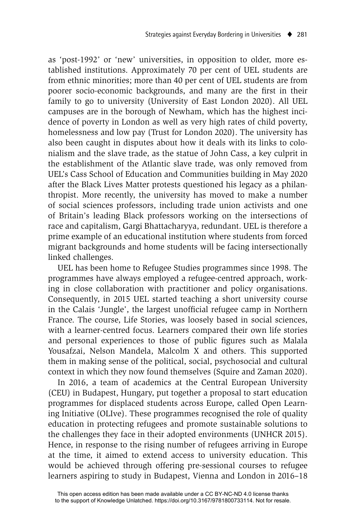as 'post-1992' or 'new' universities, in opposition to older, more established institutions. Approximately 70 per cent of UEL students are from ethnic minorities; more than 40 per cent of UEL students are from poorer socio-economic backgrounds, and many are the first in their family to go to university (University of East London 2020). All UEL campuses are in the borough of Newham, which has the highest incidence of poverty in London as well as very high rates of child poverty, homelessness and low pay (Trust for London 2020). The university has also been caught in disputes about how it deals with its links to colonialism and the slave trade, as the statue of John Cass, a key culprit in the establishment of the Atlantic slave trade, was only removed from UEL's Cass School of Education and Communities building in May 2020 after the Black Lives Matter protests questioned his legacy as a philanthropist. More recently, the university has moved to make a number of social sciences professors, including trade union activists and one of Britain's leading Black professors working on the intersections of race and capitalism, Gargi Bhattacharyya, redundant. UEL is therefore a prime example of an educational institution where students from forced migrant backgrounds and home students will be facing intersectionally linked challenges.

UEL has been home to Refugee Studies programmes since 1998. The programmes have always employed a refugee-centred approach, working in close collaboration with practitioner and policy organisations. Consequently, in 2015 UEL started teaching a short university course in the Calais 'Jungle', the largest unofficial refugee camp in Northern France. The course, Life Stories, was loosely based in social sciences, with a learner-centred focus. Learners compared their own life stories and personal experiences to those of public figures such as Malala Yousafzai, Nelson Mandela, Malcolm X and others. This supported them in making sense of the political, social, psychosocial and cultural context in which they now found themselves (Squire and Zaman 2020).

In 2016, a team of academics at the Central European University (CEU) in Budapest, Hungary, put together a proposal to start education programmes for displaced students across Europe, called Open Learning Initiative (OLIve). These programmes recognised the role of quality education in protecting refugees and promote sustainable solutions to the challenges they face in their adopted environments (UNHCR 2015). Hence, in response to the rising number of refugees arriving in Europe at the time, it aimed to extend access to university education. This would be achieved through offering pre-sessional courses to refugee learners aspiring to study in Budapest, Vienna and London in 2016–18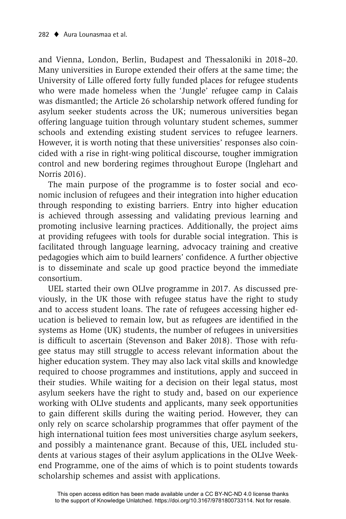and Vienna, London, Berlin, Budapest and Thessaloniki in 2018–20. Many universities in Europe extended their offers at the same time; the University of Lille offered forty fully funded places for refugee students who were made homeless when the 'Jungle' refugee camp in Calais was dismantled; the Article 26 scholarship network offered funding for asylum seeker students across the UK; numerous universities began offering language tuition through voluntary student schemes, summer schools and extending existing student services to refugee learners. However, it is worth noting that these universities' responses also coincided with a rise in right-wing political discourse, tougher immigration control and new bordering regimes throughout Europe (Inglehart and Norris 2016).

The main purpose of the programme is to foster social and economic inclusion of refugees and their integration into higher education through responding to existing barriers. Entry into higher education is achieved through assessing and validating previous learning and promoting inclusive learning practices. Additionally, the project aims at providing refugees with tools for durable social integration. This is facilitated through language learning, advocacy training and creative pedagogies which aim to build learners' confidence. A further objective is to disseminate and scale up good practice beyond the immediate consortium.

UEL started their own OLIve programme in 2017. As discussed previously, in the UK those with refugee status have the right to study and to access student loans. The rate of refugees accessing higher education is believed to remain low, but as refugees are identified in the systems as Home (UK) students, the number of refugees in universities is difficult to ascertain (Stevenson and Baker 2018). Those with refugee status may still struggle to access relevant information about the higher education system. They may also lack vital skills and knowledge required to choose programmes and institutions, apply and succeed in their studies. While waiting for a decision on their legal status, most asylum seekers have the right to study and, based on our experience working with OLIve students and applicants, many seek opportunities to gain different skills during the waiting period. However, they can only rely on scarce scholarship programmes that offer payment of the high international tuition fees most universities charge asylum seekers, and possibly a maintenance grant. Because of this, UEL included students at various stages of their asylum applications in the OLIve Weekend Programme, one of the aims of which is to point students towards scholarship schemes and assist with applications.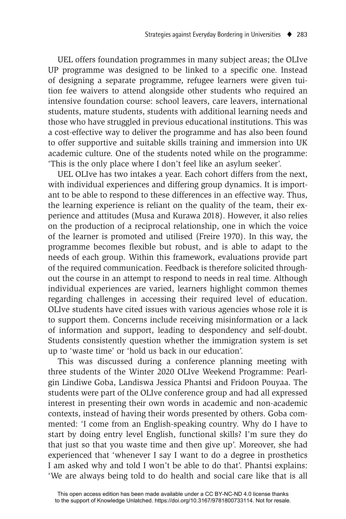UEL offers foundation programmes in many subject areas; the OLIve UP programme was designed to be linked to a specific one. Instead of designing a separate programme, refugee learners were given tuition fee waivers to attend alongside other students who required an intensive foundation course: school leavers, care leavers, international students, mature students, students with additional learning needs and those who have struggled in previous educational institutions. This was a cost-effective way to deliver the programme and has also been found to offer supportive and suitable skills training and immersion into UK academic culture. One of the students noted while on the programme: 'This is the only place where I don't feel like an asylum seeker'.

UEL OLIve has two intakes a year. Each cohort differs from the next, with individual experiences and differing group dynamics. It is important to be able to respond to these differences in an effective way. Thus, the learning experience is reliant on the quality of the team, their experience and attitudes (Musa and Kurawa 2018). However, it also relies on the production of a reciprocal relationship, one in which the voice of the learner is promoted and utilised (Freire 1970). In this way, the programme becomes flexible but robust, and is able to adapt to the needs of each group. Within this framework, evaluations provide part of the required communication. Feedback is therefore solicited throughout the course in an attempt to respond to needs in real time. Although individual experiences are varied, learners highlight common themes regarding challenges in accessing their required level of education. OLIve students have cited issues with various agencies whose role it is to support them. Concerns include receiving misinformation or a lack of information and support, leading to despondency and self-doubt. Students consistently question whether the immigration system is set up to 'waste time' or 'hold us back in our education'.

This was discussed during a conference planning meeting with three students of the Winter 2020 OLIve Weekend Programme: Pearlgin Lindiwe Goba, Landiswa Jessica Phantsi and Fridoon Pouyaa. The students were part of the OLIve conference group and had all expressed interest in presenting their own words in academic and non-academic contexts, instead of having their words presented by others. Goba commented: 'I come from an English-speaking country. Why do I have to start by doing entry level English, functional skills? I'm sure they do that just so that you waste time and then give up'. Moreover, she had experienced that 'whenever I say I want to do a degree in prosthetics I am asked why and told I won't be able to do that'. Phantsi explains: 'We are always being told to do health and social care like that is all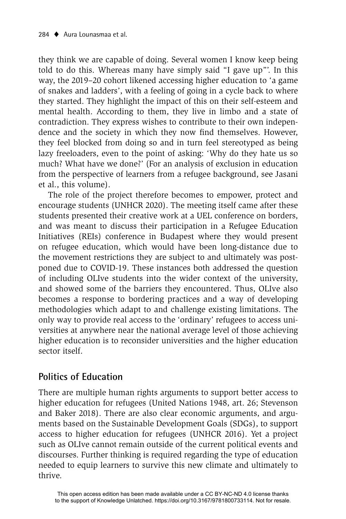they think we are capable of doing. Several women I know keep being told to do this. Whereas many have simply said "I gave up"'. In this way, the 2019–20 cohort likened accessing higher education to 'a game of snakes and ladders', with a feeling of going in a cycle back to where they started. They highlight the impact of this on their self-esteem and mental health. According to them, they live in limbo and a state of contradiction. They express wishes to contribute to their own independence and the society in which they now find themselves. However, they feel blocked from doing so and in turn feel stereotyped as being lazy freeloaders, even to the point of asking: 'Why do they hate us so much? What have we done?' (For an analysis of exclusion in education from the perspective of learners from a refugee background, see Jasani et al., this volume).

The role of the project therefore becomes to empower, protect and encourage students (UNHCR 2020). The meeting itself came after these students presented their creative work at a UEL conference on borders, and was meant to discuss their participation in a Refugee Education Initiatives (REIs) conference in Budapest where they would present on refugee education, which would have been long-distance due to the movement restrictions they are subject to and ultimately was postponed due to COVID-19. These instances both addressed the question of including OLIve students into the wider context of the university, and showed some of the barriers they encountered. Thus, OLIve also becomes a response to bordering practices and a way of developing methodologies which adapt to and challenge existing limitations. The only way to provide real access to the 'ordinary' refugees to access universities at anywhere near the national average level of those achieving higher education is to reconsider universities and the higher education sector itself.

## **Politics of Education**

There are multiple human rights arguments to support better access to higher education for refugees (United Nations 1948, art. 26; Stevenson and Baker 2018). There are also clear economic arguments, and arguments based on the Sustainable Development Goals (SDGs), to support access to higher education for refugees (UNHCR 2016). Yet a project such as OLIve cannot remain outside of the current political events and discourses. Further thinking is required regarding the type of education needed to equip learners to survive this new climate and ultimately to thrive.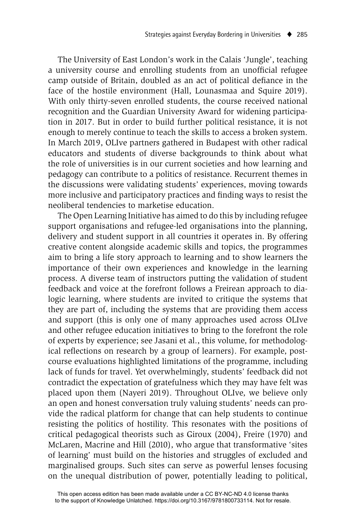The University of East London's work in the Calais 'Jungle', teaching a university course and enrolling students from an unofficial refugee camp outside of Britain, doubled as an act of political defiance in the face of the hostile environment (Hall, Lounasmaa and Squire 2019). With only thirty-seven enrolled students, the course received national recognition and the Guardian University Award for widening participation in 2017. But in order to build further political resistance, it is not enough to merely continue to teach the skills to access a broken system. In March 2019, OLIve partners gathered in Budapest with other radical educators and students of diverse backgrounds to think about what the role of universities is in our current societies and how learning and pedagogy can contribute to a politics of resistance. Recurrent themes in the discussions were validating students' experiences, moving towards more inclusive and participatory practices and finding ways to resist the neoliberal tendencies to marketise education.

The Open Learning Initiative has aimed to do this by including refugee support organisations and refugee-led organisations into the planning, delivery and student support in all countries it operates in. By offering creative content alongside academic skills and topics, the programmes aim to bring a life story approach to learning and to show learners the importance of their own experiences and knowledge in the learning process. A diverse team of instructors putting the validation of student feedback and voice at the forefront follows a Freirean approach to dialogic learning, where students are invited to critique the systems that they are part of, including the systems that are providing them access and support (this is only one of many approaches used across OLIve and other refugee education initiatives to bring to the forefront the role of experts by experience; see Jasani et al., this volume, for methodological reflections on research by a group of learners). For example, postcourse evaluations highlighted limitations of the programme, including lack of funds for travel. Yet overwhelmingly, students' feedback did not contradict the expectation of gratefulness which they may have felt was placed upon them (Nayeri 2019). Throughout OLIve, we believe only an open and honest conversation truly valuing students' needs can provide the radical platform for change that can help students to continue resisting the politics of hostility. This resonates with the positions of critical pedagogical theorists such as Giroux (2004), Freire (1970) and McLaren, Macrine and Hill (2010), who argue that transformative 'sites of learning' must build on the histories and struggles of excluded and marginalised groups. Such sites can serve as powerful lenses focusing on the unequal distribution of power, potentially leading to political,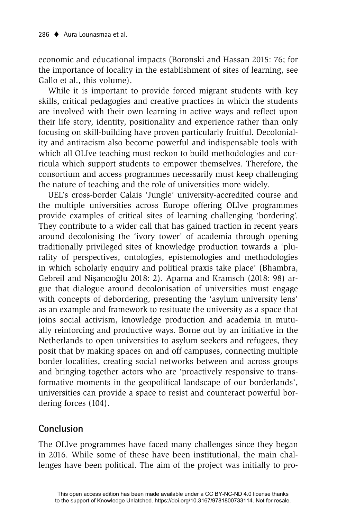economic and educational impacts (Boronski and Hassan 2015: 76; for the importance of locality in the establishment of sites of learning, see Gallo et al., this volume).

While it is important to provide forced migrant students with key skills, critical pedagogies and creative practices in which the students are involved with their own learning in active ways and reflect upon their life story, identity, positionality and experience rather than only focusing on skill-building have proven particularly fruitful. Decoloniality and antiracism also become powerful and indispensable tools with which all OLIve teaching must reckon to build methodologies and curricula which support students to empower themselves. Therefore, the consortium and access programmes necessarily must keep challenging the nature of teaching and the role of universities more widely.

UEL's cross-border Calais 'Jungle' university-accredited course and the multiple universities across Europe offering OLIve programmes provide examples of critical sites of learning challenging 'bordering'. They contribute to a wider call that has gained traction in recent years around decolonising the 'ivory tower' of academia through opening traditionally privileged sites of knowledge production towards a 'plurality of perspectives, ontologies, epistemologies and methodologies in which scholarly enquiry and political praxis take place' (Bhambra, Gebreil and Nișancıoğlu 2018: 2). Aparna and Kramsch (2018: 98) argue that dialogue around decolonisation of universities must engage with concepts of debordering, presenting the 'asylum university lens' as an example and framework to resituate the university as a space that joins social activism, knowledge production and academia in mutually reinforcing and productive ways. Borne out by an initiative in the Netherlands to open universities to asylum seekers and refugees, they posit that by making spaces on and off campuses, connecting multiple border localities, creating social networks between and across groups and bringing together actors who are 'proactively responsive to transformative moments in the geopolitical landscape of our borderlands', universities can provide a space to resist and counteract powerful bordering forces (104).

## **Conclusion**

The OLIve programmes have faced many challenges since they began in 2016. While some of these have been institutional, the main challenges have been political. The aim of the project was initially to pro-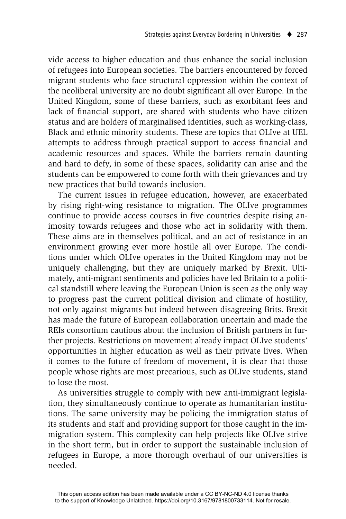vide access to higher education and thus enhance the social inclusion of refugees into European societies. The barriers encountered by forced migrant students who face structural oppression within the context of the neoliberal university are no doubt significant all over Europe. In the United Kingdom, some of these barriers, such as exorbitant fees and lack of financial support, are shared with students who have citizen status and are holders of marginalised identities, such as working-class, Black and ethnic minority students. These are topics that OLIve at UEL attempts to address through practical support to access financial and academic resources and spaces. While the barriers remain daunting and hard to defy, in some of these spaces, solidarity can arise and the students can be empowered to come forth with their grievances and try new practices that build towards inclusion.

The current issues in refugee education, however, are exacerbated by rising right-wing resistance to migration. The OLIve programmes continue to provide access courses in five countries despite rising animosity towards refugees and those who act in solidarity with them. These aims are in themselves political, and an act of resistance in an environment growing ever more hostile all over Europe. The conditions under which OLIve operates in the United Kingdom may not be uniquely challenging, but they are uniquely marked by Brexit. Ultimately, anti-migrant sentiments and policies have led Britain to a political standstill where leaving the European Union is seen as the only way to progress past the current political division and climate of hostility, not only against migrants but indeed between disagreeing Brits. Brexit has made the future of European collaboration uncertain and made the REIs consortium cautious about the inclusion of British partners in further projects. Restrictions on movement already impact OLIve students' opportunities in higher education as well as their private lives. When it comes to the future of freedom of movement, it is clear that those people whose rights are most precarious, such as OLIve students, stand to lose the most.

As universities struggle to comply with new anti-immigrant legislation, they simultaneously continue to operate as humanitarian institutions. The same university may be policing the immigration status of its students and staff and providing support for those caught in the immigration system. This complexity can help projects like OLIve strive in the short term, but in order to support the sustainable inclusion of refugees in Europe, a more thorough overhaul of our universities is needed.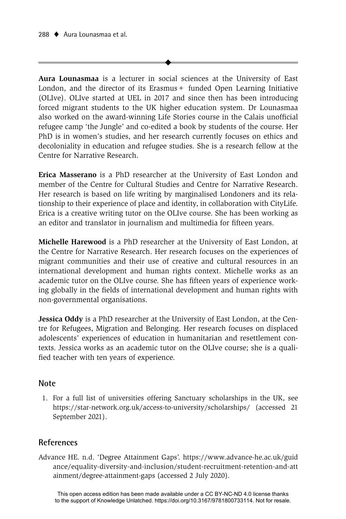**Aura Lounasmaa** is a lecturer in social sciences at the University of East London, and the director of its Erasmus + funded Open Learning Initiative (OLIve). OLIve started at UEL in 2017 and since then has been introducing forced migrant students to the UK higher education system. Dr Lounasmaa also worked on the award-winning Life Stories course in the Calais unofficial refugee camp 'the Jungle' and co-edited a book by students of the course. Her PhD is in women's studies, and her research currently focuses on ethics and decoloniality in education and refugee studies. She is a research fellow at the Centre for Narrative Research.

 $\blacklozenge$ 

**Erica Masserano** is a PhD researcher at the University of East London and member of the Centre for Cultural Studies and Centre for Narrative Research. Her research is based on life writing by marginalised Londoners and its relationship to their experience of place and identity, in collaboration with CityLife. Erica is a creative writing tutor on the OLIve course. She has been working as an editor and translator in journalism and multimedia for fifteen years.

**Michelle Harewood** is a PhD researcher at the University of East London, at the Centre for Narrative Research. Her research focuses on the experiences of migrant communities and their use of creative and cultural resources in an international development and human rights context. Michelle works as an academic tutor on the OLIve course. She has fifteen years of experience working globally in the fields of international development and human rights with non-governmental organisations.

**Jessica Oddy** is a PhD researcher at the University of East London, at the Centre for Refugees, Migration and Belonging. Her research focuses on displaced adolescents' experiences of education in humanitarian and resettlement contexts. Jessica works as an academic tutor on the OLIve course; she is a qualified teacher with ten years of experience.

#### **Note**

 1. For a full list of universities offering Sanctuary scholarships in the UK, see https://star-network.org.uk/access-to-university/scholarships/ (accessed 21 September 2021).

#### **References**

Advan ce HE. n.d. 'Degree Attainment Gaps'. https://www.advance-he.ac.uk/guid ance/equality-diversity-and-inclusion/student-recruitment-retention-and-att ainment/degree-attainment-gaps (accessed 2 July 2020).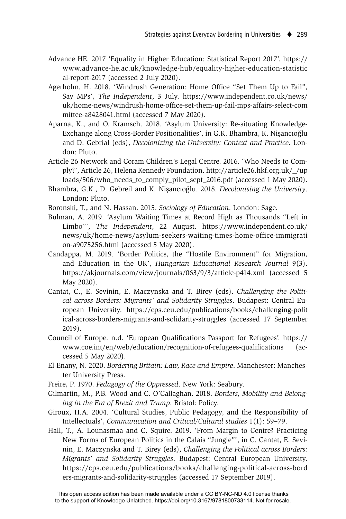- Advance HE. 2017 'Equality in Higher Education: Statistical Report 2017'. https:// www.advance-he.ac.uk/knowledge-hub/equality-higher-education-statistic al-report-2017 (accessed 2 July 2020).
- Agerholm, H. 2018. 'Windrush Generation: Home Office "Set Them Up to Fail", Say MPs', *The Independent*, 3 July. https://www.independent.co.uk/news/ uk/home-news/windrush-home-office-set-them-up-fail-mps-affairs-select-com mittee-a8428041.html (accessed 7 May 2020).
- Aparna, K., and O. Kramsch. 2018. 'Asylum University: Re-situating Knowledge-Exchange along Cross-Border Positionalities', in G.K. Bhambra, K. Nişancıoğlu and D. Gebrial (eds), *Decolonizing the University: Context and Practice*. London: Pluto.
- Article 26 Network and Coram Children's Legal Centre. 2016. 'Who Needs to Comply?', Article 26, Helena Kennedy Foundation. http://article26.hkf.org.uk/\_/up loads/506/who\_needs\_to\_comply\_pilot\_sept\_2016.pdf (accessed 1 May 2020).
- Bhambra, G.K., D. Gebreil and K. Nişancıoğlu. 2018. *Decolonising the University*. London: Pluto.
- Boronski, T., and N. Hassan. 2015. *Sociology of Education*. London: Sage.
- Bulman, A. 2019. 'Asylum Waiting Times at Record High as Thousands "Left in Limbo"', *The Independent*, 22 August. https://www.independent.co.uk/ news/uk/home-news/asylum-seekers-waiting-times-home-office-immigrati on-a9075256.html (accessed 5 May 2020).
- Candappa, M. 2019. 'Border Politics, the "Hostile Environment" for Migration, and Education in the UK', *Hungarian Educational Research Journal* 9(3). https://akjournals.com/view/journals/063/9/3/article-p414.xml (accessed 5 May 2020).
- Cantat, C., E. Sevinin, E. Maczynska and T. Birey (eds). *Challenging the Political across Borders: Migrants' and Solidarity Struggles*. Budapest: Central European University. https://cps.ceu.edu/publications/books/challenging-polit ical-across-borders-migrants-and-solidarity-struggles (accessed 17 September 2019).
- Council of Europe. n.d. 'European Qualifications Passport for Refugees'. https:// www.coe.int/en/web/education/recognition-of-refugees-qualifications (accessed 5 May 2020).
- El-Enany, N. 2020. *Bordering Britain: Law, Race and Empire*. Manchester: Manchester University Press.
- Freire, P. 1970. *Pedagogy of the Oppressed*. New York: Seabury.
- Gilmartin, M., P.B. Wood and C. O'Callaghan. 2018. *Borders, Mobility and Belonging in the Era of Brexit and Trump*. Bristol: Policy.
- Giroux, H.A. 2004. 'Cultural Studies, Public Pedagogy, and the Responsibility of Intellectuals', *Communication and Critical/Cultural studies* 1(1): 59–79.
- Hall, T., A. Lounasmaa and C. Squire. 2019. 'From Margin to Centre? Practicing New Forms of European Politics in the Calais "Jungle"', in C. Cantat, E. Sevinin, E. Maczynska and T. Birey (eds), *Challenging the Political across Borders: Migrants' and Solidarity Struggles*. Budapest: Central European University. https://cps.ceu.edu/publications/books/challenging-political-across-bord ers-migrants-and-solidarity-struggles (accessed 17 September 2019).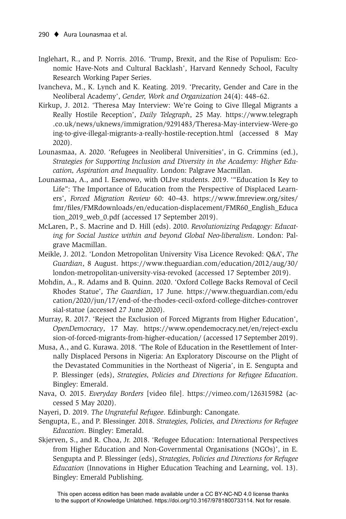- Inglehart, R., and P. Norris. 2016. 'Trump, Brexit, and the Rise of Populism: Economic Have-Nots and Cultural Backlash', Harvard Kennedy School, Faculty Research Working Paper Series.
- Ivancheva, M., K. Lynch and K. Keating. 2019. 'Precarity, Gender and Care in the Neoliberal Academy', *Gender, Work and Organization* 24(4): 448–62.
- Kirkup, J. 2012. 'Theresa May Interview: We're Going to Give Illegal Migrants a Really Hostile Reception', *Daily Telegraph*, 25 May. https://www.telegraph .co.uk/news/uknews/immigration/9291483/Theresa-May-interview-Were-go ing-to-give-illegal-migrants-a-really-hostile-reception.html (accessed 8 May 2020).
- Lounasmaa, A. 2020. 'Refugees in Neoliberal Universities', in G. Crimmins (ed.), *Strategies for Supporting Inclusion and Diversity in the Academy: Higher Education, Aspiration and Inequality*. London: Palgrave Macmillan.
- Lounasmaa, A., and I. Esenowo, with OLIve students. 2019. '"Education Is Key to Life": The Importance of Education from the Perspective of Displaced Learners', *Forced Migration Review* 60: 40–43. https://www.fmreview.org/sites/ fmr/fi les/FMRdownloads/en/education-displacement/FMR60\_English\_Educa tion\_2019\_web\_0.pdf (accessed 17 September 2019).
- McLaren, P., S. Macrine and D. Hill (eds). 2010. *Revolutionizing Pedagogy: Educating for Social Justice within and beyond Global Neo-liberalism*. London: Palgrave Macmillan.
- Meikle, J. 2012. 'London Metropolitan University Visa Licence Revoked: Q&A', *The Guardian*, 8 August. https://www.theguardian.com/education/2012/aug/30/ london-metropolitan-university-visa-revoked (accessed 17 September 2019).
- Mohdin, A., R. Adams and B. Quinn. 2020. 'Oxford College Backs Removal of Cecil Rhodes Statue', *The Guardian*, 17 June. https://www.theguardian.com/edu cation/2020/jun/17/end-of-the-rhodes-cecil-oxford-college-ditches-controver sial-statue (accessed 27 June 2020).
- Murray, R. 2017. 'Reject the Exclusion of Forced Migrants from Higher Education', *OpenDemocracy*, 17 May. https://www.opendemocracy.net/en/reject-exclu sion-of-forced-migrants-from-higher-education/ (accessed 17 September 2019).
- Musa, A., and G. Kurawa. 2018. 'The Role of Education in the Resettlement of Internally Displaced Persons in Nigeria: An Exploratory Discourse on the Plight of the Devastated Communities in the Northeast of Nigeria', in E. Sengupta and P. Blessinger (eds), *Strategies, Policies and Directions for Refugee Education*. Bingley: Emerald.
- Nava, O. 2015. *Everyday Borders* [video file]. https://vimeo.com/126315982 (accessed 5 May 2020).
- Nayeri, D. 2019. *The Ungrateful Refugee*. Edinburgh: Canongate.
- Sengupta, E., and P. Blessinger. 2018. *Strategies, Policies, and Directions for Refugee Education*. Bingley: Emerald.
- Skjerven, S., and R. Choa, Jr. 2018. 'Refugee Education: International Perspectives from Higher Education and Non-Governmental Organisations (NGOs)', in E. Sengupta and P. Blessinger (eds), *Strategies, Policies and Directions for Refugee Education* (Innovations in Higher Education Teaching and Learning, vol. 13). Bingley: Emerald Publishing.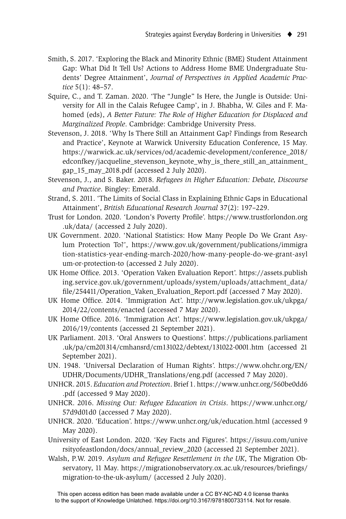- Smith, S. 2017. 'Exploring the Black and Minority Ethnic (BME) Student Attainment Gap: What Did It Tell Us? Actions to Address Home BME Undergraduate Students' Degree Attainment', *Journal of Perspectives in Applied Academic Practice* 5(1): 48–57.
- Squire, C., and T. Zaman. 2020. 'The "Jungle" Is Here, the Jungle is Outside: University for All in the Calais Refugee Camp', in J. Bhabha, W. Giles and F. Mahomed (eds), *A Better Future: The Role of Higher Education for Displaced and Marginalized People*. Cambridge: Cambridge University Press.
- Stevenson, J. 2018. 'Why Is There Still an Attainment Gap? Findings from Research and Practice', Keynote at Warwick University Education Conference, 15 May. https://warwick.ac.uk/services/od/academic-development/conference\_2018/ edconfkey/jacqueline\_stevenson\_keynote\_why\_is\_there\_still\_an\_attainment\_ gap\_15\_may\_2018.pdf (accessed 2 July 2020).
- Stevenson, J., and S. Baker. 2018. *Refugees in Higher Education: Debate, Discourse and Practice*. Bingley: Emerald.
- Strand, S. 2011. 'The Limits of Social Class in Explaining Ethnic Gaps in Educational Attainment', *British Educational Research Journal* 37(2): 197–229.
- Trust for London. 2020. 'London's Poverty Profile'. https://www.trustforlondon.org .uk/data/ (accessed 2 July 2020).
- UK Government. 2020. 'National Statistics: How Many People Do We Grant Asylum Protection To?', https://www.gov.uk/government/publications/immigra tion-statistics-year-ending-march-2020/how-many-people-do-we-grant-asyl um-or-protection-to (accessed 2 July 2020).
- UK Home Office. 2013. 'Operation Vaken Evaluation Report'. https://assets.publish ing.service.gov.uk/government/uploads/system/uploads/attachment\_data/ file/254411/Operation\_Vaken\_Evaluation\_Report.pdf (accessed 7 May 2020).
- UK Home Office. 2014. 'Immigration Act'. http://www.legislation.gov.uk/ukpga/ 2014/22/contents/enacted (accessed 7 May 2020).
- UK Home Office. 2016. 'Immigration Act'. https://www.legislation.gov.uk/ukpga/ 2016/19/contents (accessed 21 September 2021).
- UK Parliament. 2013. 'Oral Answers to Questions'. https://publications.parliament .uk/pa/cm201314/cmhansrd/cm131022/debtext/131022-0001.htm (accessed 21 September 2021).
- UN. 1948. 'Universal Declaration of Human Rights'. https://www.ohchr.org/EN/ UDHR/Documents/UDHR\_Translations/eng.pdf (accessed 7 May 2020).
- UNHCR. 2015. *Education and Protection*. Brief 1. https://www.unhcr.org/560be0dd6 .pdf (accessed 9 May 2020).
- UNHCR. 2016. *Missing Out: Refugee Education in Crisis*. https://www.unhcr.org/ 57d9d01d0 (accessed 7 May 2020).
- UNHCR. 2020. 'Education'. https://www.unhcr.org/uk/education.html (accessed 9 May 2020).
- University of East London. 2020. 'Key Facts and Figures'. https://issuu.com/unive rsityofeastlondon/docs/annual\_review\_2020 (accessed 21 September 2021).
- Walsh, P.W. 2019. *Asylum and Refugee Resettlement in the UK*, The Migration Observatory, 11 May. https://migrationobservatory.ox.ac.uk/resources/briefings/ migration-to-the-uk-asylum/ (accessed 2 July 2020).